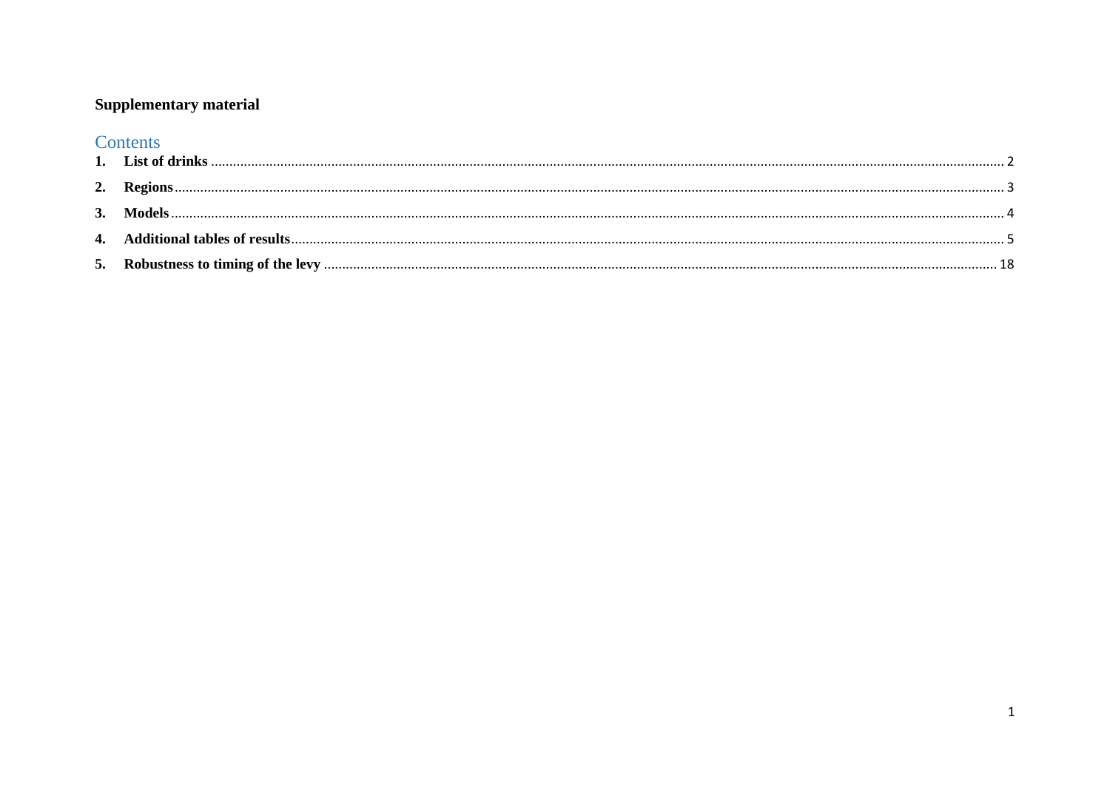## **Supplementary material**

# Contents

| 3. Models |  |
|-----------|--|
|           |  |
|           |  |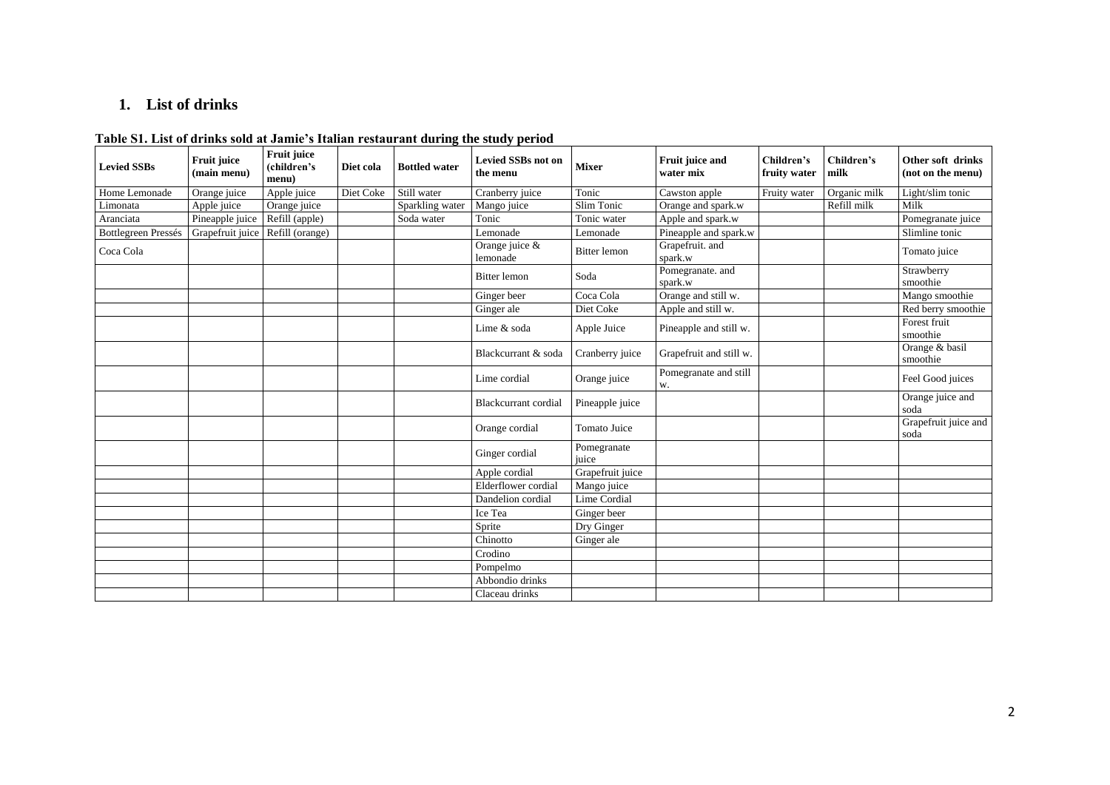## <span id="page-1-0"></span>**1. List of drinks**

| Table S1. List of drinks sold at Jamie's Italian restaurant during the study period |  |  |
|-------------------------------------------------------------------------------------|--|--|
|-------------------------------------------------------------------------------------|--|--|

| <b>Levied SSBs</b>         | <b>Fruit juice</b><br>(main menu) | <b>Fruit juice</b><br>(children's<br>menu) | Diet cola | <b>Bottled water</b> | <b>Levied SSBs not on</b><br>the menu | <b>Mixer</b>         | Fruit juice and<br>water mix | Children's<br>fruity water | Children's<br>milk | Other soft drinks<br>(not on the menu) |
|----------------------------|-----------------------------------|--------------------------------------------|-----------|----------------------|---------------------------------------|----------------------|------------------------------|----------------------------|--------------------|----------------------------------------|
| Home Lemonade              | Orange juice                      | Apple juice                                | Diet Coke | Still water          | Cranberry juice                       | Tonic                | Cawston apple                | Fruity water               | Organic milk       | Light/slim tonic                       |
| Limonata                   | Apple juice                       | Orange juice                               |           | Sparkling water      | Mango juice                           | Slim Tonic           | Orange and spark.w           |                            | Refill milk        | Milk                                   |
| Aranciata                  | Pineapple juice                   | Refill (apple)                             |           | Soda water           | Tonic                                 | Tonic water          | Apple and spark.w            |                            |                    | Pomegranate juice                      |
| <b>Bottlegreen Pressés</b> | Grapefruit juice                  | Refill (orange)                            |           |                      | Lemonade                              | Lemonade             | Pineapple and spark.w        |                            |                    | Slimline tonic                         |
| Coca Cola                  |                                   |                                            |           |                      | Orange juice &<br>lemonade            | <b>Bitter</b> lemon  | Grapefruit. and<br>spark.w   |                            |                    | Tomato juice                           |
|                            |                                   |                                            |           |                      | <b>Bitter</b> lemon                   | Soda                 | Pomegranate. and<br>spark.w  |                            |                    | Strawberry<br>smoothie                 |
|                            |                                   |                                            |           |                      | Ginger beer                           | Coca Cola            | Orange and still w.          |                            |                    | Mango smoothie                         |
|                            |                                   |                                            |           |                      | Ginger ale                            | Diet Coke            | Apple and still w.           |                            |                    | Red berry smoothie                     |
|                            |                                   |                                            |           |                      | Lime & soda                           | Apple Juice          | Pineapple and still w.       |                            |                    | Forest fruit<br>smoothie               |
|                            |                                   |                                            |           |                      | Blackcurrant & soda                   | Cranberry juice      | Grapefruit and still w.      |                            |                    | Orange & basil<br>smoothie             |
|                            |                                   |                                            |           |                      | Lime cordial                          | Orange juice         | Pomegranate and still<br>w.  |                            |                    | Feel Good juices                       |
|                            |                                   |                                            |           |                      | Blackcurrant cordial                  | Pineapple juice      |                              |                            |                    | Orange juice and<br>soda               |
|                            |                                   |                                            |           |                      | Orange cordial                        | Tomato Juice         |                              |                            |                    | Grapefruit juice and<br>soda           |
|                            |                                   |                                            |           |                      | Ginger cordial                        | Pomegranate<br>juice |                              |                            |                    |                                        |
|                            |                                   |                                            |           |                      | Apple cordial                         | Grapefruit juice     |                              |                            |                    |                                        |
|                            |                                   |                                            |           |                      | Elderflower cordial                   | Mango juice          |                              |                            |                    |                                        |
|                            |                                   |                                            |           |                      | Dandelion cordial                     | Lime Cordial         |                              |                            |                    |                                        |
|                            |                                   |                                            |           |                      | Ice Tea                               | Ginger beer          |                              |                            |                    |                                        |
|                            |                                   |                                            |           |                      | Sprite                                | Dry Ginger           |                              |                            |                    |                                        |
|                            |                                   |                                            |           |                      | Chinotto                              | Ginger ale           |                              |                            |                    |                                        |
|                            |                                   |                                            |           |                      | Crodino                               |                      |                              |                            |                    |                                        |
|                            |                                   |                                            |           |                      | Pompelmo                              |                      |                              |                            |                    |                                        |
|                            |                                   |                                            |           |                      | Abbondio drinks                       |                      |                              |                            |                    |                                        |
|                            |                                   |                                            |           |                      | Claceau drinks                        |                      |                              |                            |                    |                                        |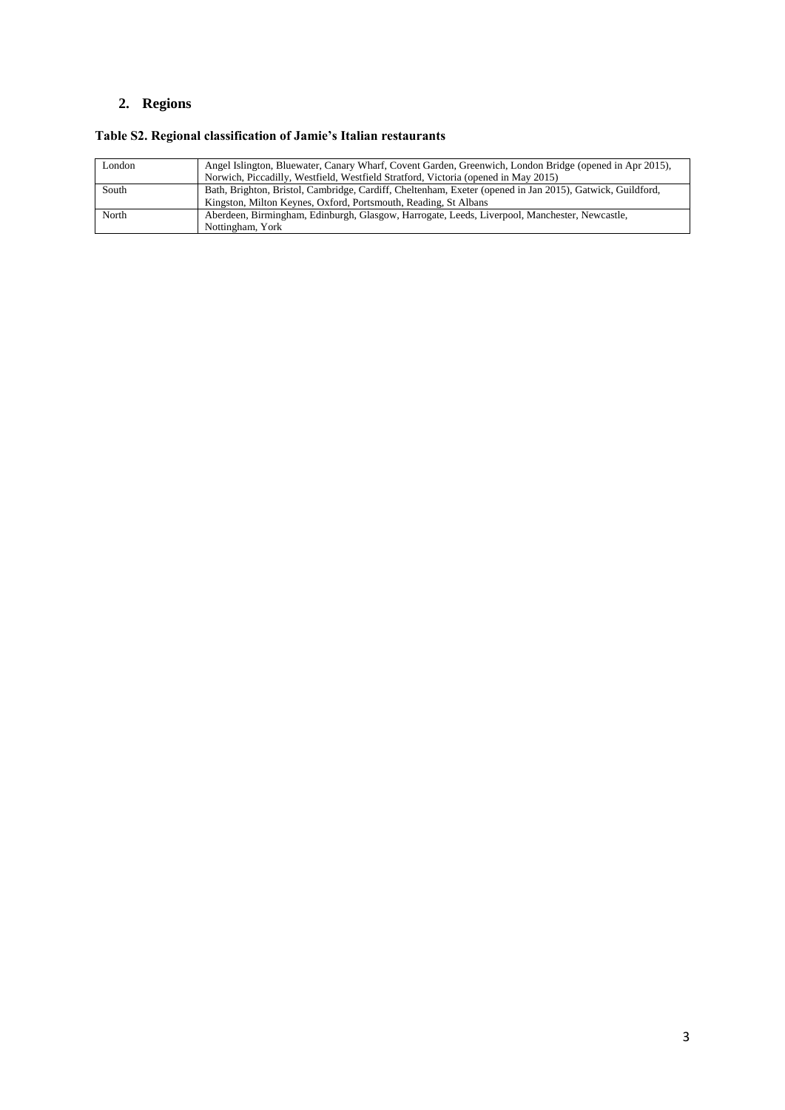## <span id="page-2-0"></span>**2. Regions**

## **Table S2. Regional classification of Jamie's Italian restaurants**

| London | Angel Islington, Bluewater, Canary Wharf, Covent Garden, Greenwich, London Bridge (opened in Apr 2015),   |
|--------|-----------------------------------------------------------------------------------------------------------|
|        | Norwich, Piccadilly, Westfield, Westfield Stratford, Victoria (opened in May 2015)                        |
| South  | Bath, Brighton, Bristol, Cambridge, Cardiff, Cheltenham, Exeter (opened in Jan 2015), Gatwick, Guildford, |
|        | Kingston, Milton Keynes, Oxford, Portsmouth, Reading, St Albans                                           |
| North  | Aberdeen, Birmingham, Edinburgh, Glasgow, Harrogate, Leeds, Liverpool, Manchester, Newcastle,             |
|        | Nottingham, York                                                                                          |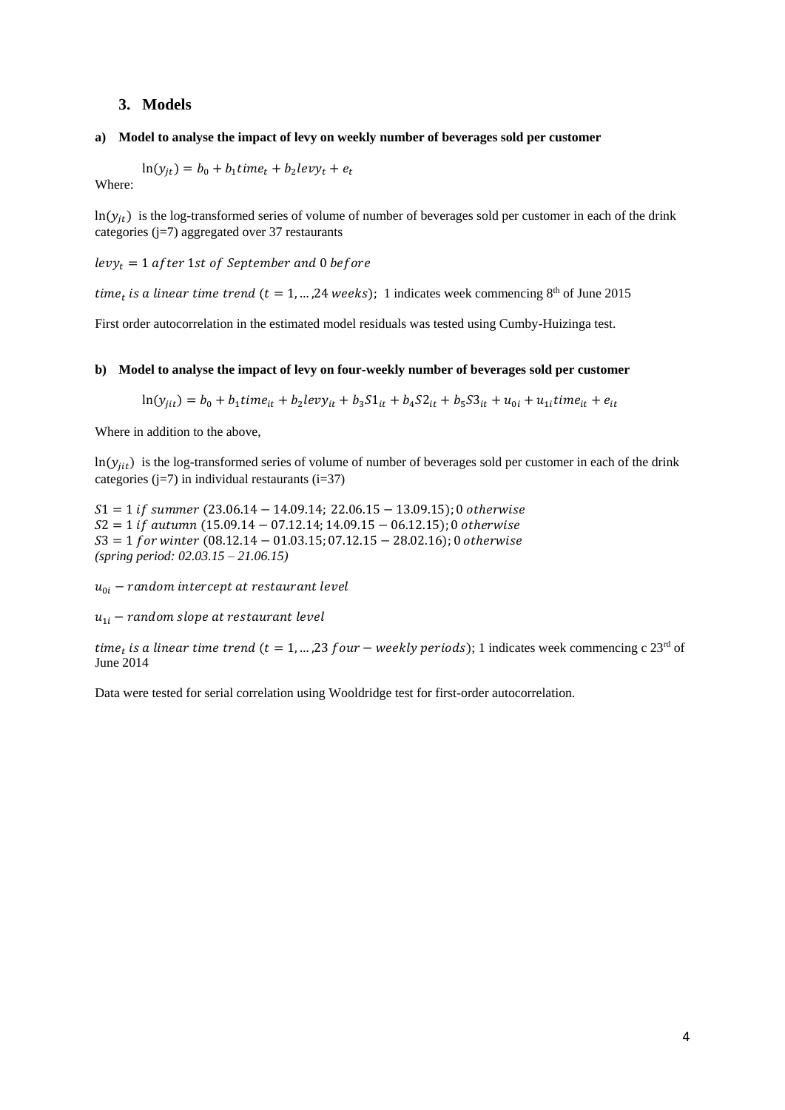#### <span id="page-3-0"></span>**3. Models**

#### **a) Model to analyse the impact of levy on weekly number of beverages sold per customer**

$$
\ln(y_{jt}) = b_0 + b_1 \text{time}_t + b_2 \text{levy}_t + e_t
$$

Where:

 $ln(y_{it})$  is the log-transformed series of volume of number of beverages sold per customer in each of the drink categories ( $j=7$ ) aggregated over 37 restaurants

 $levy_t = 1$  after 1st of September and 0 before

time<sub>t</sub> is a linear time trend ( $t = 1, ..., 24$  weeks); 1 indicates week commencing  $8<sup>th</sup>$  of June 2015

First order autocorrelation in the estimated model residuals was tested using Cumby-Huizinga test.

#### **b) Model to analyse the impact of levy on four-weekly number of beverages sold per customer**

$$
\ln(y_{jit}) = b_0 + b_1 \text{time}_{it} + b_2 \text{levy}_{it} + b_3 \text{S1}_{it} + b_4 \text{S2}_{it} + b_5 \text{S3}_{it} + u_{0i} + u_{1i} \text{time}_{it} + e_{it}
$$

Where in addition to the above,

 $ln(y_{ij})$  is the log-transformed series of volume of number of beverages sold per customer in each of the drink categories ( $j=7$ ) in individual restaurants ( $i=37$ )

 $51 = 1$  if summer (23.06.14 – 14.09.14; 22.06.15 – 13.09.15); 0 otherwise  $S2 = 1$  if autumn (15.09.14 – 07.12.14; 14.09.15 – 06.12.15); 0 otherwise  $53 = 1$  for winter (08.12.14 – 01.03.15; 07.12.15 – 28.02.16); 0 otherwise *(spring period: 02.03.15 – 21.06.15)* 

 $u_{0i}$  – random intercept at restaurant level

 $u_{1i}$  – random slope at restaurant level

time<sub>t</sub> is a linear time trend ( $t = 1, ..., 23$  four  $-$  weekly periods); 1 indicates week commencing c  $23^{\text{rd}}$  of June 2014

Data were tested for serial correlation using Wooldridge test for first-order autocorrelation.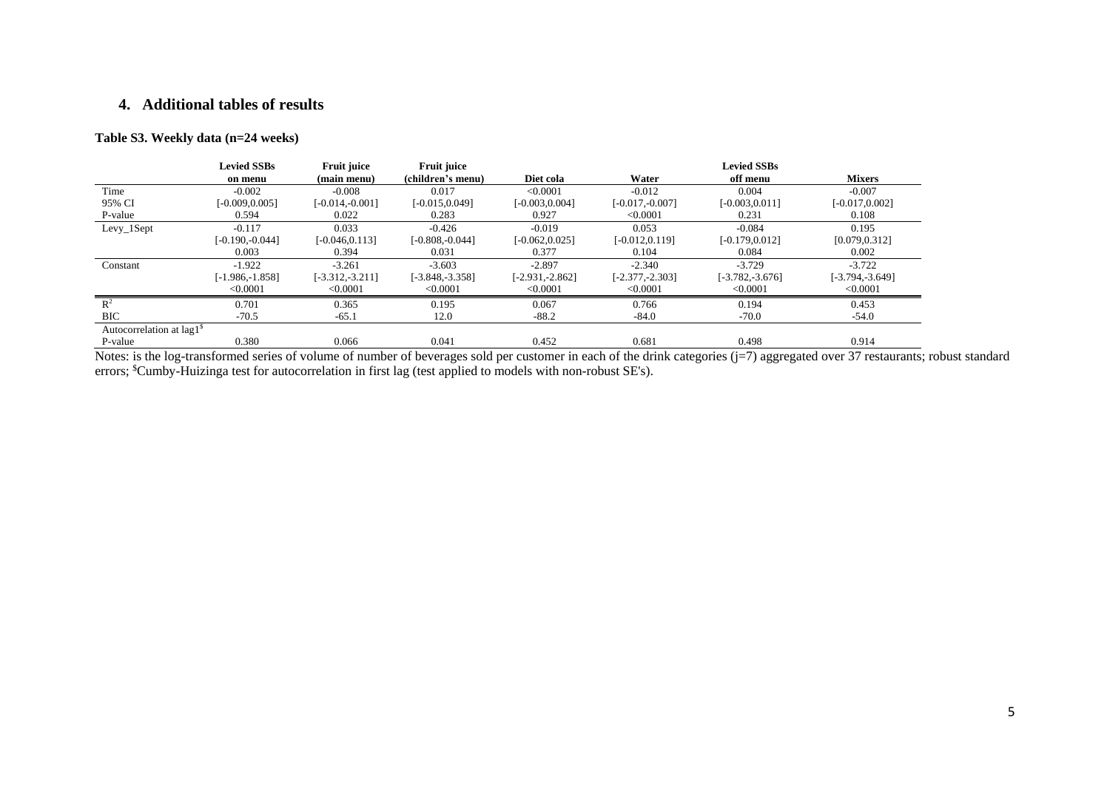## <span id="page-4-0"></span>**4. Additional tables of results**

#### **Table S3. Weekly data (n=24 weeks)**

|                            | <b>Levied SSBs</b> | <b>Fruit juice</b> | Fruit juice        |                   |                    | <b>Levied SSBs</b> |                    |
|----------------------------|--------------------|--------------------|--------------------|-------------------|--------------------|--------------------|--------------------|
|                            | on menu            | (main menu)        | (children's menu)  | Diet cola         | Water              | off menu           | <b>Mixers</b>      |
| Time                       | $-0.002$           | $-0.008$           | 0.017              | < 0.0001          | $-0.012$           | 0.004              | $-0.007$           |
| 95% CI                     | $[-0.009, 0.005]$  | $[-0.014,-0.001]$  | $[-0.015, 0.049]$  | $[-0.003, 0.004]$ | $[-0.017, -0.007]$ | $[-0.003, 0.011]$  | $[-0.017, 0.002]$  |
| P-value                    | 0.594              | 0.022              | 0.283              | 0.927             | < 0.0001           | 0.231              | 0.108              |
| $Levy_1Sept$               | $-0.117$           | 0.033              | $-0.426$           | $-0.019$          | 0.053              | $-0.084$           | 0.195              |
|                            | $[-0.190,-0.044]$  | $[-0.046, 0.113]$  | $[-0.808, 0.044]$  | $[-0.062, 0.025]$ | $[-0.012, 0.119]$  | $[-0.179, 0.012]$  | [0.079, 0.312]     |
|                            | 0.003              | 0.394              | 0.031              | 0.377             | 0.104              | 0.084              | 0.002              |
| Constant                   | $-1.922$           | $-3.261$           | $-3.603$           | $-2.897$          | $-2.340$           | $-3.729$           | $-3.722$           |
|                            | [-1.986.-1.858]    | $[-3.312,-3.211]$  | $[-3.848, -3.358]$ | [-2.931,-2.862]   | $[-2.377, -2.303]$ | $[-3.782, -3.676]$ | $[-3.794, -3.649]$ |
|                            | < 0.0001           | < 0.0001           | < 0.0001           | < 0.0001          | < 0.0001           | < 0.0001           | < 0.0001           |
| $\mathbb{R}^2$             | 0.701              | 0.365              | 0.195              | 0.067             | 0.766              | 0.194              | 0.453              |
| <b>BIC</b>                 | $-70.5$            | $-65.1$            | 12.0               | $-88.2$           | $-84.0$            | $-70.0$            | $-54.0$            |
| Autocorrelation at $lag1s$ |                    |                    |                    |                   |                    |                    |                    |
| P-value                    | 0.380              | 0.066              | 0.041              | 0.452             | 0.681              | 0.498              | 0.914              |

Notes: is the log-transformed series of volume of number of beverages sold per customer in each of the drink categories (j=7) aggregated over 37 restaurants; robust standard errors; <sup>\$</sup>Cumby-Huizinga test for autocorrelation in first lag (test applied to models with non-robust SE's).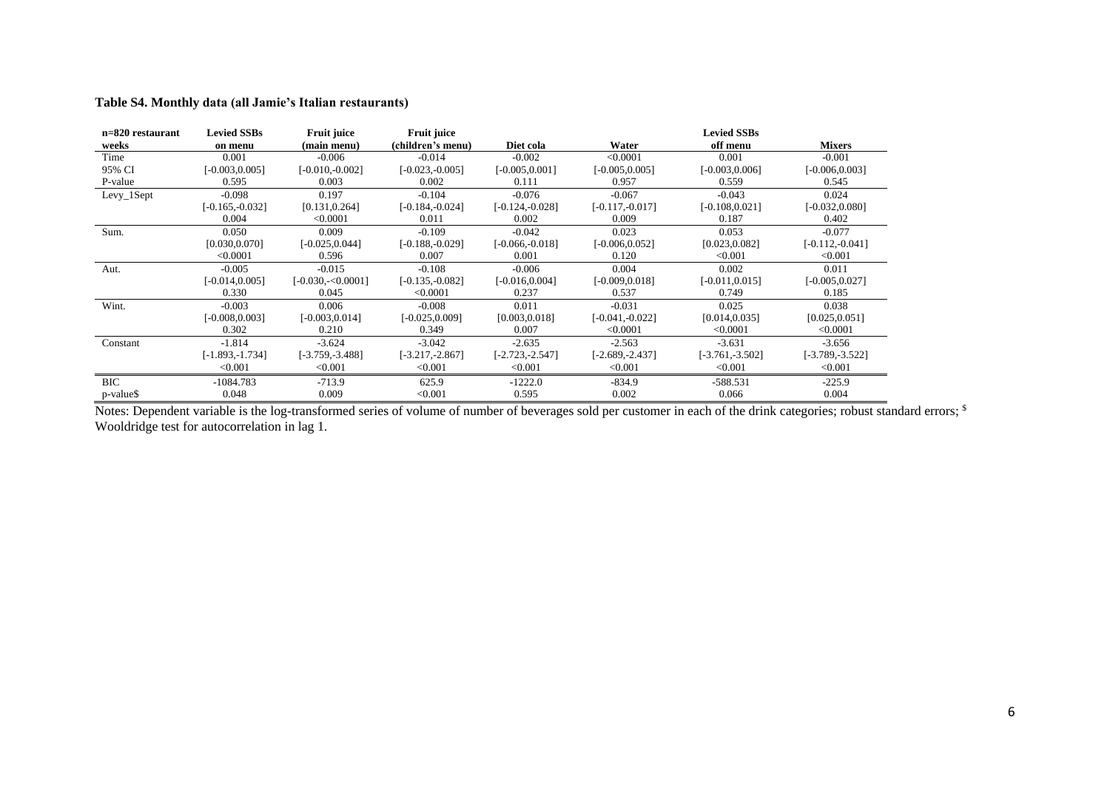#### **Table S4. Monthly data (all Jamie's Italian restaurants)**

| n=820 restaurant | <b>Levied SSBs</b> | <b>Fruit juice</b> | <b>Fruit juice</b> |                    |                    | <b>Levied SSBs</b> |                    |
|------------------|--------------------|--------------------|--------------------|--------------------|--------------------|--------------------|--------------------|
| weeks            | on menu            | (main menu)        | (children's menu)  | Diet cola          | Water              | off menu           | <b>Mixers</b>      |
| Time             | 0.001              | $-0.006$           | $-0.014$           | $-0.002$           | < 0.0001           | 0.001              | $-0.001$           |
| 95% CI           | $-0.003, 0.005$ ]  | $[-0.010, -0.002]$ | $[-0.023, -0.005]$ | $[-0.005, 0.001]$  | $[-0.005, 0.005]$  | $[-0.003, 0.006]$  | $[-0.006, 0.003]$  |
| P-value          | 0.595              | 0.003              | 0.002              | 0.111              | 0.957              | 0.559              | 0.545              |
| Levy_1Sept       | $-0.098$           | 0.197              | $-0.104$           | $-0.076$           | $-0.067$           | $-0.043$           | 0.024              |
|                  | $[-0.165, -0.032]$ | [0.131, 0.264]     | $[-0.184, -0.024]$ | $[-0.124, -0.028]$ | $[-0.117, -0.017]$ | $[-0.108, 0.021]$  | $[-0.032, 0.080]$  |
|                  | 0.004              | < 0.0001           | 0.011              | 0.002              | 0.009              | 0.187              | 0.402              |
| Sum.             | 0.050              | 0.009              | $-0.109$           | $-0.042$           | 0.023              | 0.053              | $-0.077$           |
|                  | [0.030, 0.070]     | $[-0.025, 0.044]$  | $[-0.188,-0.029]$  | $[-0.066, -0.018]$ | $[-0.006, 0.052]$  | [0.023, 0.082]     | $[-0.112, -0.041]$ |
|                  | < 0.0001           | 0.596              | 0.007              | 0.001              | 0.120              | < 0.001            | < 0.001            |
| Aut.             | $-0.005$           | $-0.015$           | $-0.108$           | $-0.006$           | 0.004              | 0.002              | 0.011              |
|                  | $-0.014, 0.005$ ]  | $[-0.030,-0.0001]$ | $[-0.135, -0.082]$ | $[-0.016, 0.004]$  | $[-0.009, 0.018]$  | $[-0.011, 0.015]$  | $[-0.005, 0.027]$  |
|                  | 0.330              | 0.045              | < 0.0001           | 0.237              | 0.537              | 0.749              | 0.185              |
| Wint.            | $-0.003$           | 0.006              | $-0.008$           | 0.011              | $-0.031$           | 0.025              | 0.038              |
|                  | $-0.008, 0.003$ ]  | $[-0.003, 0.014]$  | $[-0.025, 0.009]$  | [0.003, 0.018]     | $[-0.041, -0.022]$ | [0.014, 0.035]     | [0.025, 0.051]     |
|                  | 0.302              | 0.210              | 0.349              | 0.007              | < 0.0001           | < 0.0001           | < 0.0001           |
| Constant         | $-1.814$           | $-3.624$           | $-3.042$           | $-2.635$           | $-2.563$           | $-3.631$           | $-3.656$           |
|                  | [-1.893,-1.734]    | $[-3.759, -3.488]$ | $[-3.217, -2.867]$ | $[-2.723, -2.547]$ | $[-2.689, -2.437]$ | $[-3.761, -3.502]$ | $[-3.789, -3.522]$ |
|                  | < 0.001            | < 0.001            | < 0.001            | < 0.001            | < 0.001            | < 0.001            | < 0.001            |
| <b>BIC</b>       | $-1084.783$        | $-713.9$           | 625.9              | $-1222.0$          | $-834.9$           | $-588.531$         | $-225.9$           |
| p-value\$        | 0.048              | 0.009              | < 0.001            | 0.595              | 0.002              | 0.066              | 0.004              |

Notes: Dependent variable is the log-transformed series of volume of number of beverages sold per customer in each of the drink categories; robust standard errors; \$ Wooldridge test for autocorrelation in lag 1.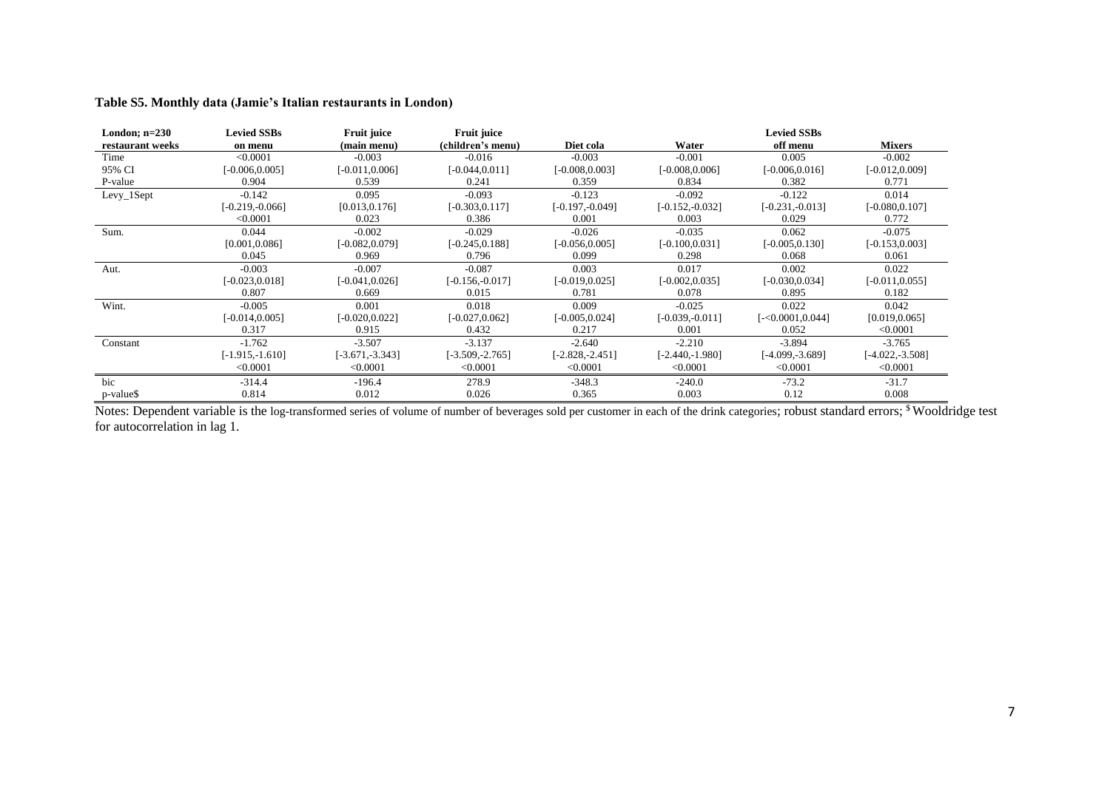| London; $n=230$  | <b>Levied SSBs</b> | Fruit juice        | Fruit juice        |                    |                    | <b>Levied SSBs</b> |                    |
|------------------|--------------------|--------------------|--------------------|--------------------|--------------------|--------------------|--------------------|
| restaurant weeks | on menu            | (main menu)        | (children's menu)  | Diet cola          | Water              | off menu           | <b>Mixers</b>      |
| Time             | < 0.0001           | $-0.003$           | $-0.016$           | $-0.003$           | $-0.001$           | 0.005              | $-0.002$           |
| 95% CI           | $[-0.006, 0.005]$  | $[-0.011, 0.006]$  | $[-0.044, 0.011]$  | $-0.008, 0.003$    | $[-0.008, 0.006]$  | $[-0.006, 0.016]$  | $[-0.012, 0.009]$  |
| P-value          | 0.904              | 0.539              | 0.241              | 0.359              | 0.834              | 0.382              | 0.771              |
| $Levy_1Sept$     | $-0.142$           | 0.095              | $-0.093$           | $-0.123$           | $-0.092$           | $-0.122$           | 0.014              |
|                  | $[-0.219,-0.066]$  | [0.013, 0.176]     | $[-0.303, 0.117]$  | $[-0.197, -0.049]$ | $[-0.152, -0.032]$ | $[-0.231, -0.013]$ | $[-0.080, 0.107]$  |
|                  | < 0.0001           | 0.023              | 0.386              | 0.001              | 0.003              | 0.029              | 0.772              |
| Sum.             | 0.044              | $-0.002$           | $-0.029$           | $-0.026$           | $-0.035$           | 0.062              | $-0.075$           |
|                  | [0.001, 0.086]     | $[-0.082, 0.079]$  | $[-0.245, 0.188]$  | $-0.056, 0.005$    | $[-0.100, 0.031]$  | $[-0.005, 0.130]$  | $[-0.153, 0.003]$  |
|                  | 0.045              | 0.969              | 0.796              | 0.099              | 0.298              | 0.068              | 0.061              |
| Aut.             | $-0.003$           | $-0.007$           | $-0.087$           | 0.003              | 0.017              | 0.002              | 0.022              |
|                  | $[-0.023, 0.018]$  | $[-0.041, 0.026]$  | $[-0.156,-0.017]$  | $[-0.019, 0.025]$  | $[-0.002, 0.035]$  | $[-0.030, 0.034]$  | $[-0.011, 0.055]$  |
|                  | 0.807              | 0.669              | 0.015              | 0.781              | 0.078              | 0.895              | 0.182              |
| Wint.            | $-0.005$           | 0.001              | 0.018              | 0.009              | $-0.025$           | 0.022              | 0.042              |
|                  | $[-0.014, 0.005]$  | $[-0.020, 0.022]$  | $[-0.027, 0.062]$  | $-0.005, 0.024$ ]  | $[-0.039, -0.011]$ | $[-0.0001, 0.044]$ | [0.019, 0.065]     |
|                  | 0.317              | 0.915              | 0.432              | 0.217              | 0.001              | 0.052              | < 0.0001           |
| Constant         | $-1.762$           | $-3.507$           | $-3.137$           | $-2.640$           | $-2.210$           | $-3.894$           | $-3.765$           |
|                  | $[-1.915, -1.610]$ | $[-3.671, -3.343]$ | $[-3.509, -2.765]$ | $[-2.828, -2.451]$ | $[-2.440, -1.980]$ | [-4.099,-3.689]    | $[-4.022, -3.508]$ |
|                  | < 0.0001           | < 0.0001           | < 0.0001           | < 0.0001           | < 0.0001           | < 0.0001           | < 0.0001           |
| bic              | $-314.4$           | $-196.4$           | 278.9              | $-348.3$           | $-240.0$           | $-73.2$            | $-31.7$            |
| p-value\$        | 0.814              | 0.012              | 0.026              | 0.365              | 0.003              | 0.12               | 0.008              |

#### **Table S5. Monthly data (Jamie's Italian restaurants in London)**

Notes: Dependent variable is the log-transformed series of volume of number of beverages sold per customer in each of the drink categories; robust standard errors; <sup>\$</sup> Wooldridge test for autocorrelation in lag 1.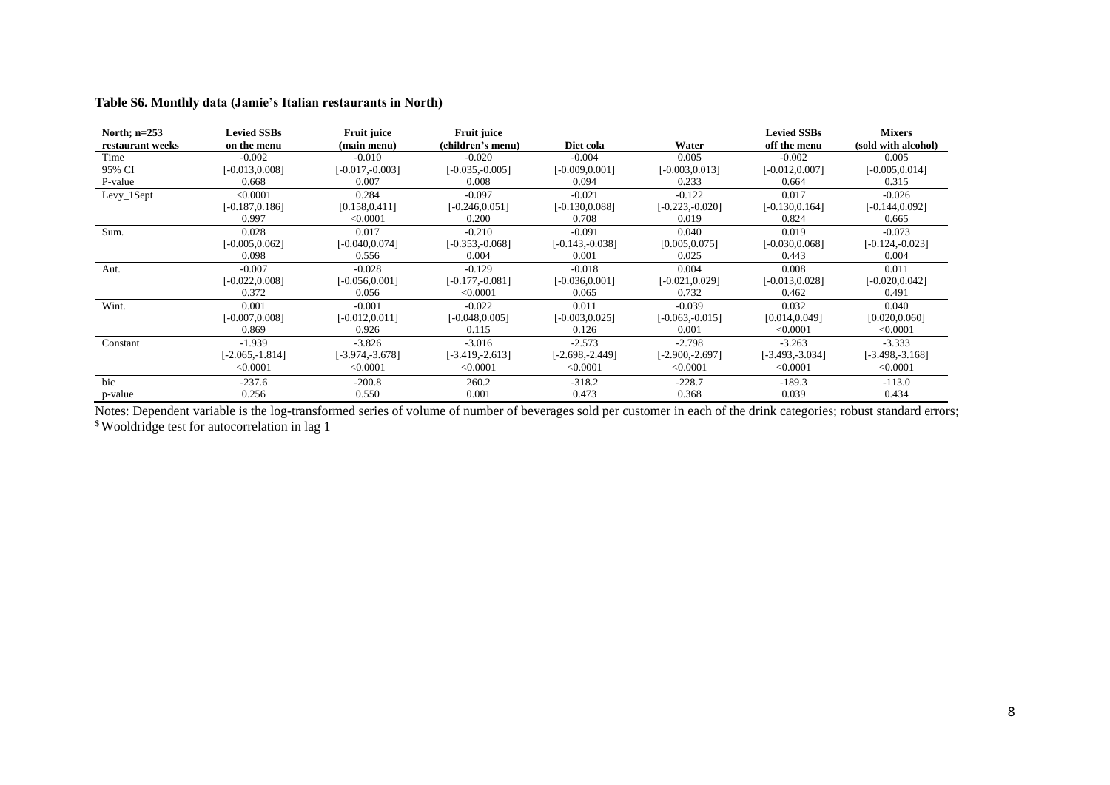#### **Table S6. Monthly data (Jamie's Italian restaurants in North)**

| North; $n=253$   | <b>Levied SSBs</b> | <b>Fruit juice</b> | <b>Fruit juice</b> |                    |                    | <b>Levied SSBs</b> | <b>Mixers</b>       |
|------------------|--------------------|--------------------|--------------------|--------------------|--------------------|--------------------|---------------------|
| restaurant weeks | on the menu        | (main menu)        | (children's menu)  | Diet cola          | Water              | off the menu       | (sold with alcohol) |
| Time             | $-0.002$           | $-0.010$           | $-0.020$           | $-0.004$           | 0.005              | $-0.002$           | 0.005               |
| 95% CI           | $[-0.013, 0.008]$  | $[-0.017, -0.003]$ | $[-0.035, -0.005]$ | $[-0.009, 0.001]$  | $[-0.003, 0.013]$  | $[-0.012, 0.007]$  | $[-0.005, 0.014]$   |
| P-value          | 0.668              | 0.007              | 0.008              | 0.094              | 0.233              | 0.664              | 0.315               |
| $Levy_1Sept$     | < 0.0001           | 0.284              | $-0.097$           | $-0.021$           | $-0.122$           | 0.017              | $-0.026$            |
|                  | $[-0.187, 0.186]$  | [0.158, 0.411]     | $[-0.246, 0.051]$  | $[-0.130, 0.088]$  | $[-0.223, -0.020]$ | $[-0.130, 0.164]$  | $[-0.144, 0.092]$   |
|                  | 0.997              | < 0.0001           | 0.200              | 0.708              | 0.019              | 0.824              | 0.665               |
| Sum.             | 0.028              | 0.017              | $-0.210$           | $-0.091$           | 0.040              | 0.019              | $-0.073$            |
|                  | $[-0.005, 0.062]$  | $[-0.040, 0.074]$  | $[-0.353, -0.068]$ | $[-0.143,-0.038]$  | [0.005, 0.075]     | $[-0.030, 0.068]$  | $[-0.124,-0.023]$   |
|                  | 0.098              | 0.556              | 0.004              | 0.001              | 0.025              | 0.443              | 0.004               |
| Aut.             | $-0.007$           | $-0.028$           | $-0.129$           | $-0.018$           | 0.004              | 0.008              | 0.011               |
|                  | $[-0.022, 0.008]$  | $[-0.056, 0.001]$  | $[-0.177, -0.081]$ | $[-0.036, 0.001]$  | $[-0.021, 0.029]$  | $[-0.013, 0.028]$  | $[-0.020, 0.042]$   |
|                  | 0.372              | 0.056              | < 0.0001           | 0.065              | 0.732              | 0.462              | 0.491               |
| Wint.            | 0.001              | $-0.001$           | $-0.022$           | 0.011              | $-0.039$           | 0.032              | 0.040               |
|                  | $[-0.007, 0.008]$  | $[-0.012, 0.011]$  | $[-0.048, 0.005]$  | $[-0.003, 0.025]$  | $[-0.063, -0.015]$ | [0.014, 0.049]     | [0.020, 0.060]      |
|                  | 0.869              | 0.926              | 0.115              | 0.126              | 0.001              | < 0.0001           | < 0.0001            |
| Constant         | $-1.939$           | $-3.826$           | $-3.016$           | $-2.573$           | $-2.798$           | $-3.263$           | $-3.333$            |
|                  | $-2.065, -1.814$   | $[-3.974, -3.678]$ | $[-3.419,-2.613]$  | $[-2.698, -2.449]$ | $[-2.900, -2.697]$ | $[-3.493,-3.034]$  | $[-3.498, -3.168]$  |
|                  | < 0.0001           | < 0.0001           | < 0.0001           | < 0.0001           | < 0.0001           | < 0.0001           | < 0.0001            |
| bic              | $-237.6$           | $-200.8$           | 260.2              | $-318.2$           | $-228.7$           | $-189.3$           | $-113.0$            |
| p-value          | 0.256              | 0.550              | 0.001              | 0.473              | 0.368              | 0.039              | 0.434               |

Notes: Dependent variable is the log-transformed series of volume of number of beverages sold per customer in each of the drink categories; robust standard errors; \$ Wooldridge test for autocorrelation in lag 1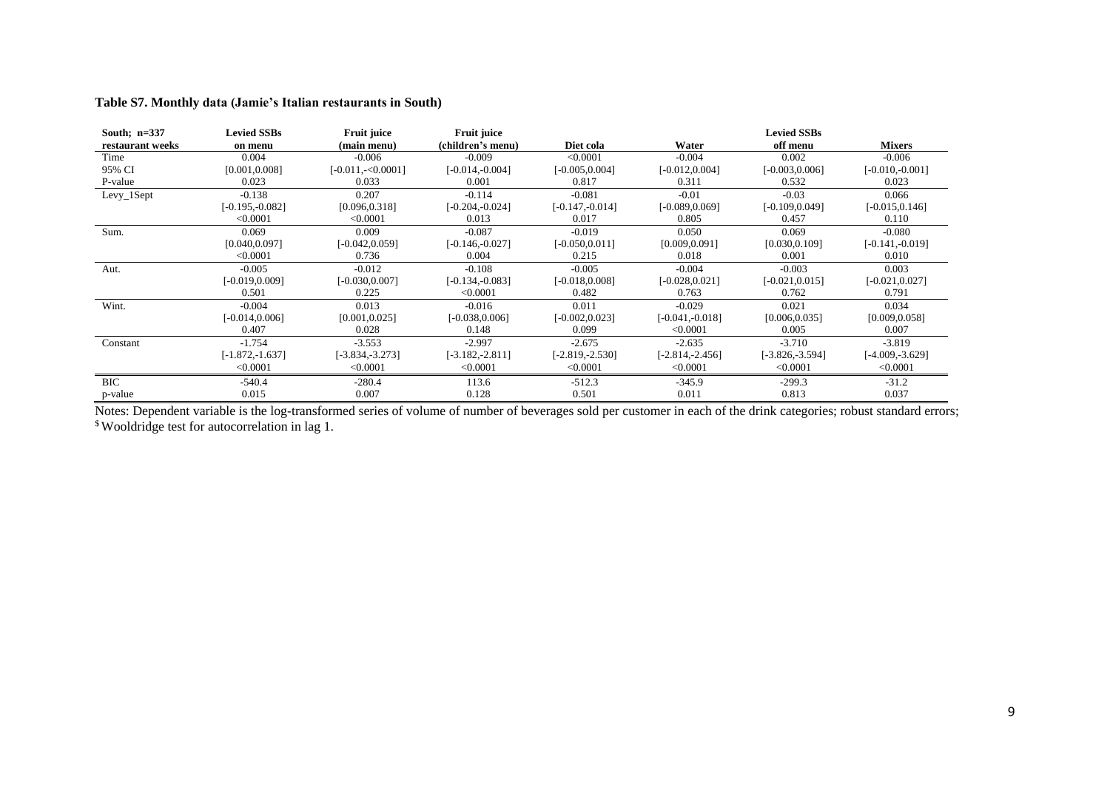#### **Table S7. Monthly data (Jamie's Italian restaurants in South)**

| South; $n=337$   | <b>Levied SSBs</b> | Fruit juice        | <b>Fruit juice</b> |                    |                    | <b>Levied SSBs</b> |                    |
|------------------|--------------------|--------------------|--------------------|--------------------|--------------------|--------------------|--------------------|
| restaurant weeks | on menu            | (main menu)        | (children's menu)  | Diet cola          | Water              | off menu           | <b>Mixers</b>      |
| Time             | 0.004              | $-0.006$           | $-0.009$           | < 0.0001           | $-0.004$           | 0.002              | $-0.006$           |
| 95% CI           | [0.001, 0.008]     | $[-0.011,-0.0001]$ | $[-0.014,-0.004]$  | $[-0.005, 0.004]$  | $[-0.012, 0.004]$  | $[-0.003, 0.006]$  | $[-0.010,-0.001]$  |
| P-value          | 0.023              | 0.033              | 0.001              | 0.817              | 0.311              | 0.532              | 0.023              |
| $Levy_1$ Sept    | $-0.138$           | 0.207              | $-0.114$           | $-0.081$           | $-0.01$            | $-0.03$            | 0.066              |
|                  | $[-0.195, -0.082]$ | [0.096, 0.318]     | $[-0.204, -0.024]$ | $[-0.147, -0.014]$ | $[-0.089, 0.069]$  | $[-0.109, 0.049]$  | $[-0.015, 0.146]$  |
|                  | < 0.0001           | < 0.0001           | 0.013              | 0.017              | 0.805              | 0.457              | 0.110              |
| Sum.             | 0.069              | 0.009              | $-0.087$           | $-0.019$           | 0.050              | 0.069              | $-0.080$           |
|                  | [0.040, 0.097]     | $[-0.042, 0.059]$  | $[-0.146, 0.027]$  | $[-0.050, 0.011]$  | [0.009, 0.091]     | [0.030, 0.109]     | $[-0.141, -0.019]$ |
|                  | < 0.0001           | 0.736              | 0.004              | 0.215              | 0.018              | 0.001              | 0.010              |
| Aut.             | $-0.005$           | $-0.012$           | $-0.108$           | $-0.005$           | $-0.004$           | $-0.003$           | 0.003              |
|                  | $[-0.019, 0.009]$  | $[-0.030, 0.007]$  | $[-0.134,-0.083]$  | $-0.018, 0.0081$   | $[-0.028, 0.021]$  | $[-0.021, 0.015]$  | $[-0.021, 0.027]$  |
|                  | 0.501              | 0.225              | < 0.0001           | 0.482              | 0.763              | 0.762              | 0.791              |
| Wint.            | $-0.004$           | 0.013              | $-0.016$           | 0.011              | $-0.029$           | 0.021              | 0.034              |
|                  | $[-0.014, 0.006]$  | [0.001, 0.025]     | $[-0.038, 0.006]$  | $-0.002, 0.023$ ]  | $[-0.041, -0.018]$ | [0.006, 0.035]     | [0.009, 0.058]     |
|                  | 0.407              | 0.028              | 0.148              | 0.099              | < 0.0001           | 0.005              | 0.007              |
| Constant         | $-1.754$           | $-3.553$           | $-2.997$           | $-2.675$           | $-2.635$           | $-3.710$           | $-3.819$           |
|                  | $[-1.872, -1.637]$ | $[-3.834, -3.273]$ | $[-3.182,-2.811]$  | $[-2.819,-2.530]$  | $[-2.814, -2.456]$ | $[-3.826,-3.594]$  | $[-4.009, -3.629]$ |
|                  | < 0.0001           | < 0.0001           | < 0.0001           | < 0.0001           | < 0.0001           | < 0.0001           | < 0.0001           |
| BIC              | $-540.4$           | $-280.4$           | 113.6              | $-512.3$           | $-345.9$           | $-299.3$           | $-31.2$            |
| p-value          | 0.015              | 0.007              | 0.128              | 0.501              | 0.011              | 0.813              | 0.037              |

Notes: Dependent variable is the log-transformed series of volume of number of beverages sold per customer in each of the drink categories; robust standard errors; \$ Wooldridge test for autocorrelation in lag 1.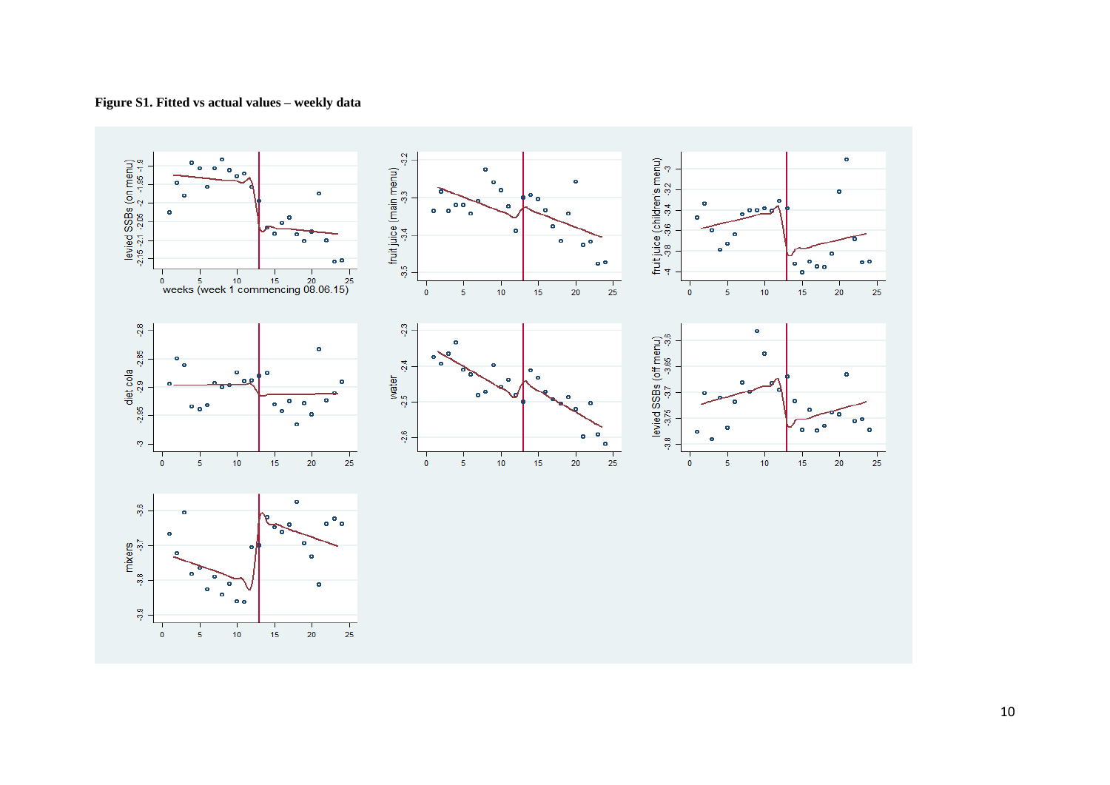

**Figure S1. Fitted vs actual values – weekly data**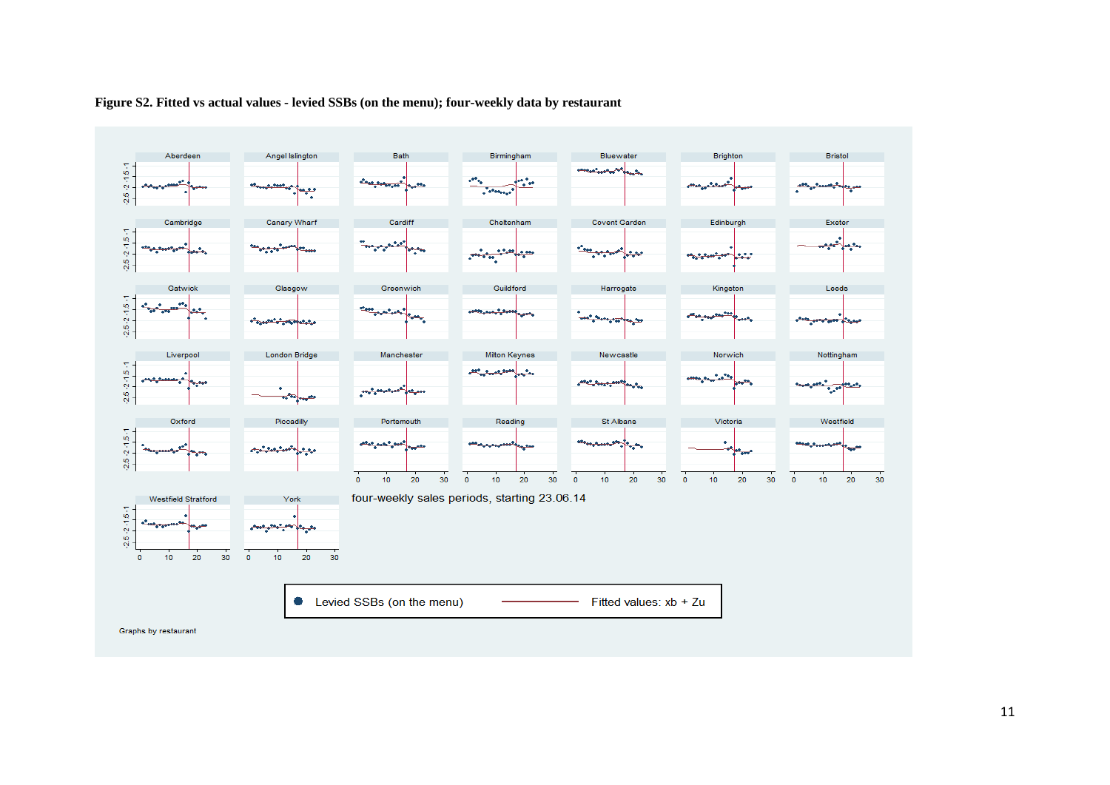

#### **Figure S2. Fitted vs actual values - levied SSBs (on the menu); four-weekly data by restaurant**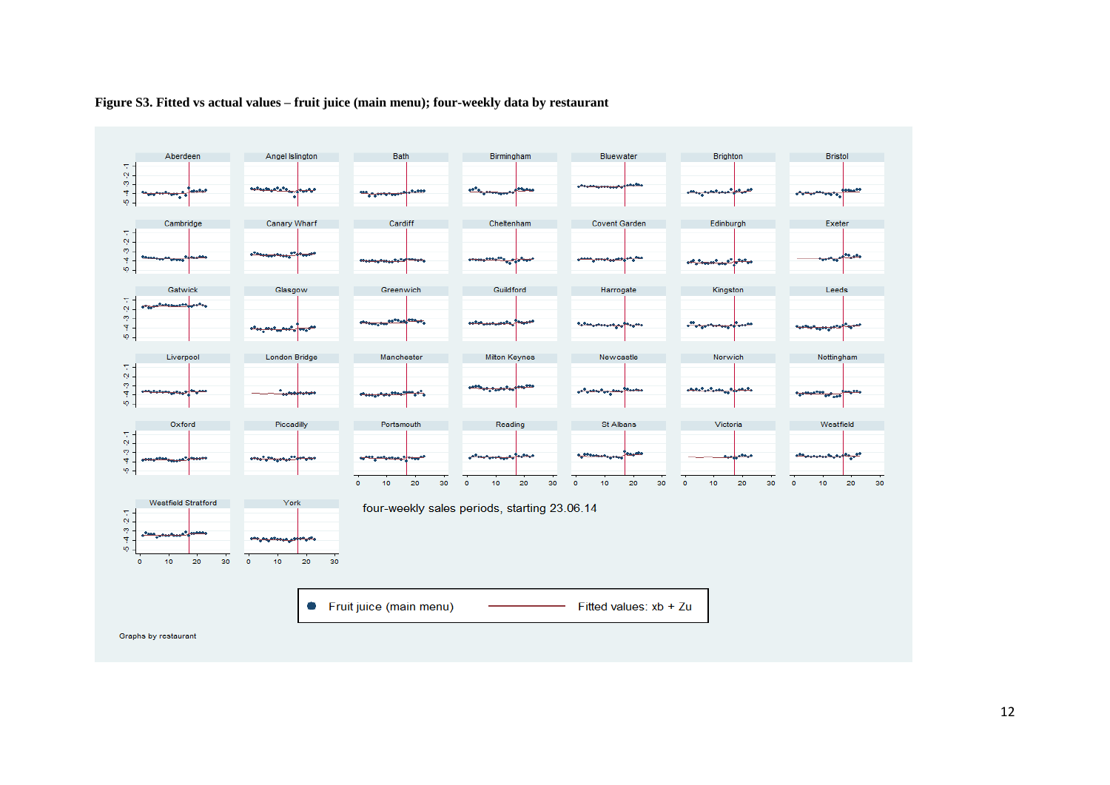

#### **Figure S3. Fitted vs actual values – fruit juice (main menu); four-weekly data by restaurant**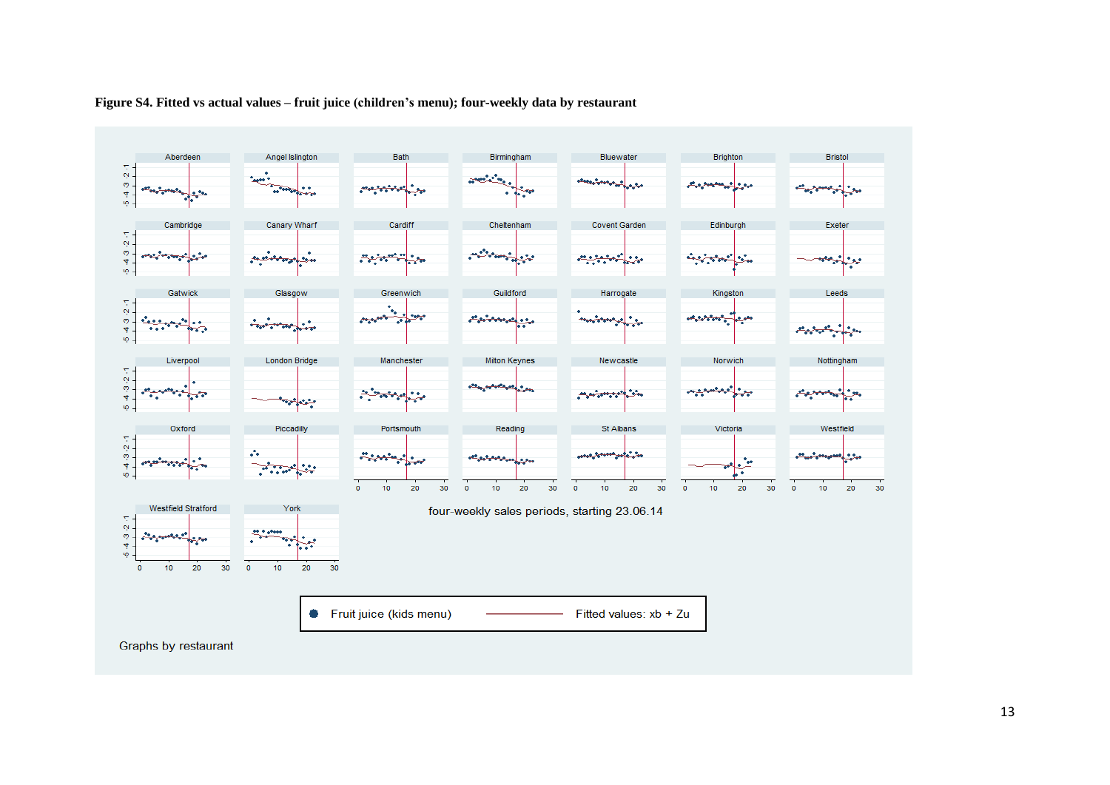

#### **Figure S4. Fitted vs actual values – fruit juice (children's menu); four-weekly data by restaurant**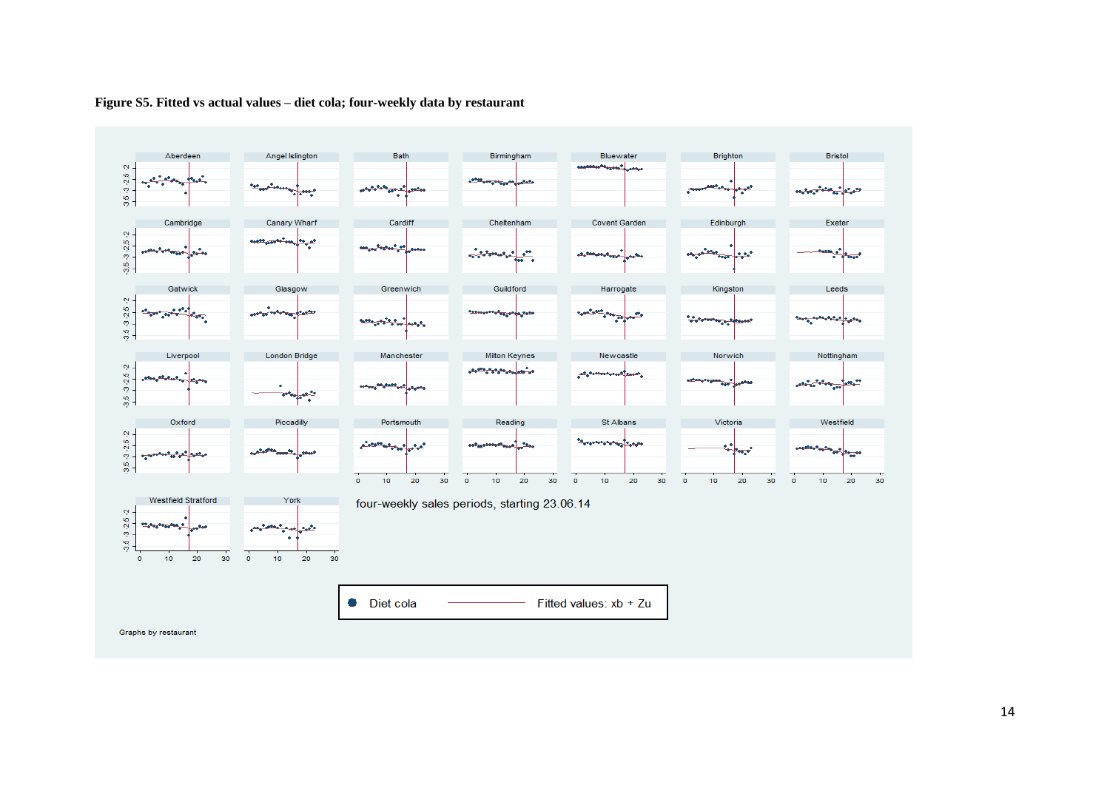

#### **Figure S5. Fitted vs actual values – diet cola; four-weekly data by restaurant**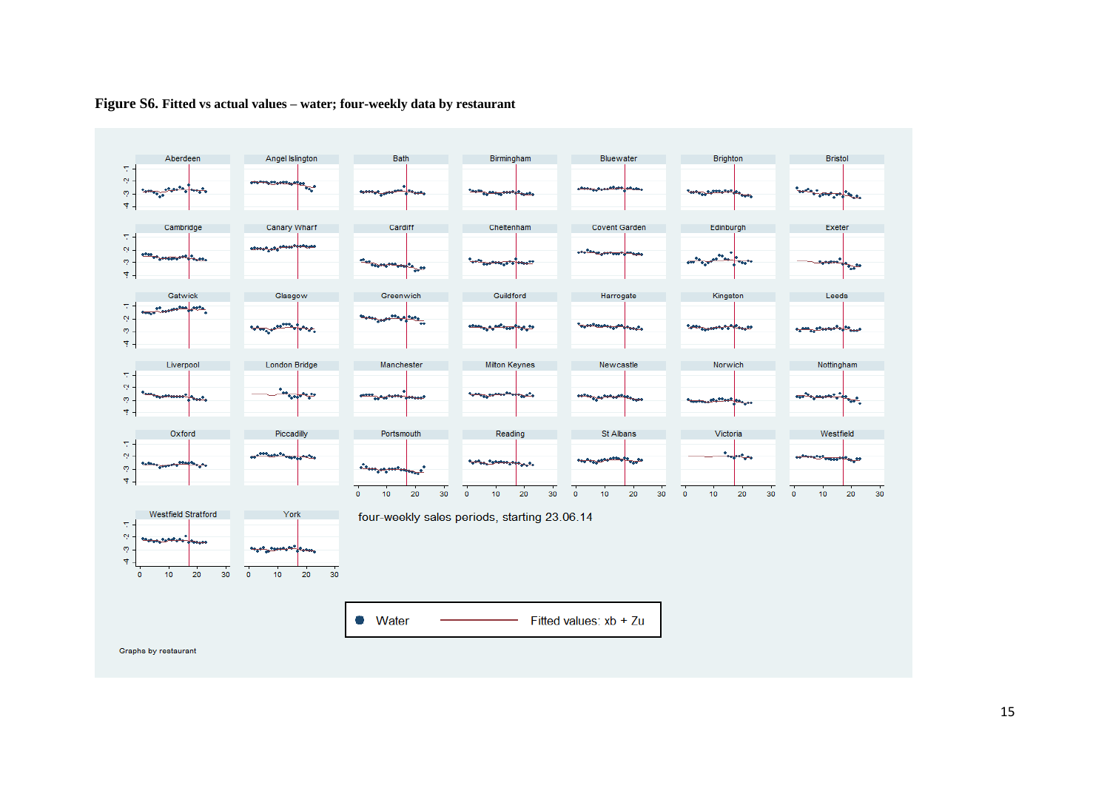

### **Figure S6. Fitted vs actual values – water; four-weekly data by restaurant**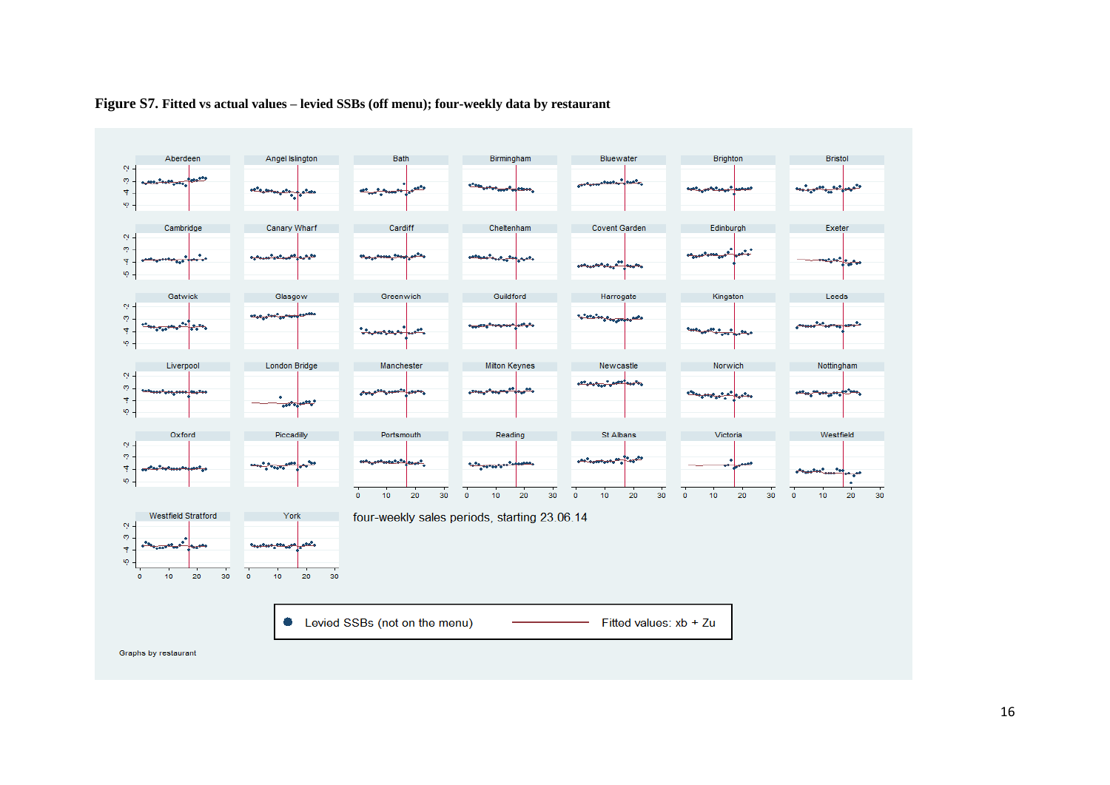

#### **Figure S7. Fitted vs actual values – levied SSBs (off menu); four-weekly data by restaurant**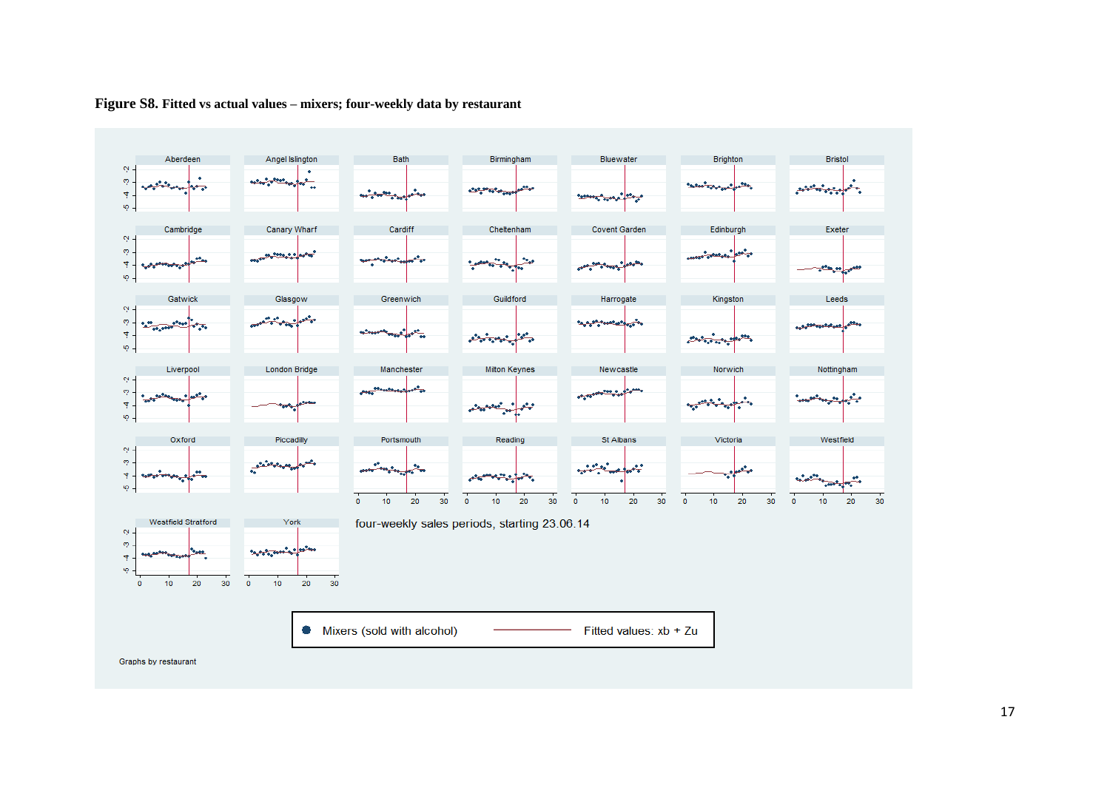

#### **Figure S8. Fitted vs actual values – mixers; four-weekly data by restaurant**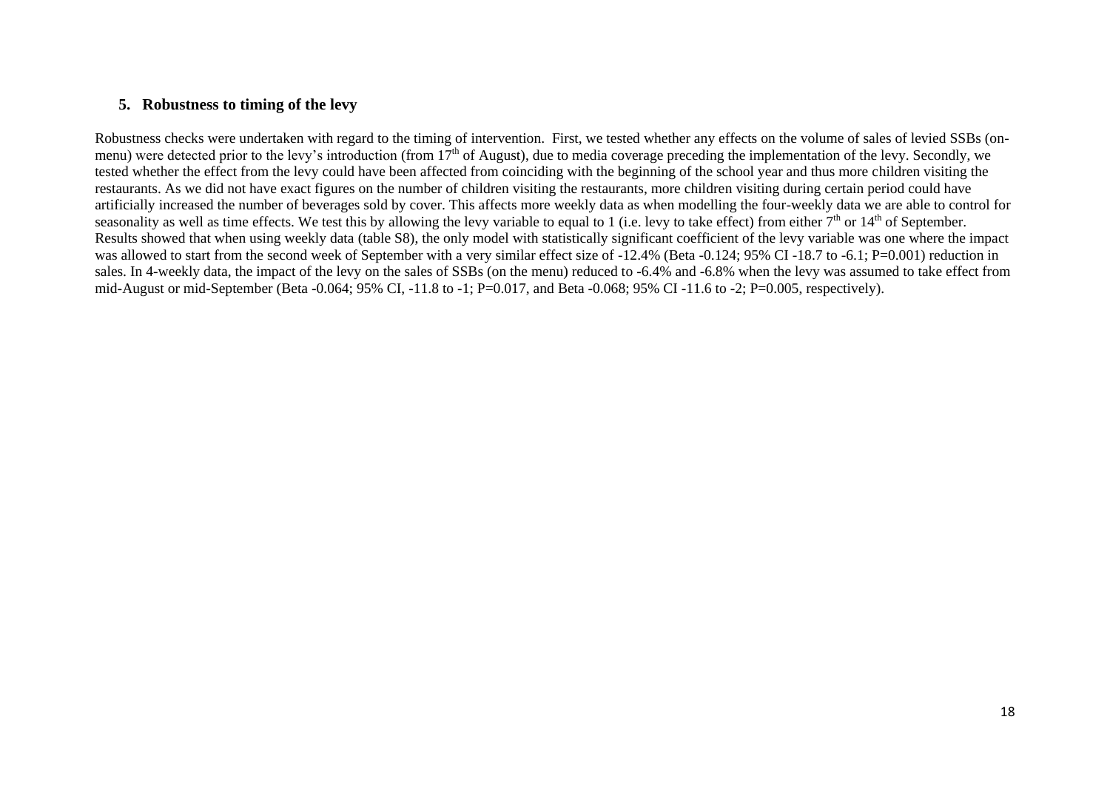### <span id="page-17-0"></span>**5. Robustness to timing of the levy**

Robustness checks were undertaken with regard to the timing of intervention. First, we tested whether any effects on the volume of sales of levied SSBs (onmenu) were detected prior to the levy's introduction (from  $17<sup>th</sup>$  of August), due to media coverage preceding the implementation of the levy. Secondly, we tested whether the effect from the levy could have been affected from coinciding with the beginning of the school year and thus more children visiting the restaurants. As we did not have exact figures on the number of children visiting the restaurants, more children visiting during certain period could have artificially increased the number of beverages sold by cover. This affects more weekly data as when modelling the four-weekly data we are able to control for seasonality as well as time effects. We test this by allowing the levy variable to equal to 1 (i.e. levy to take effect) from either  $7<sup>th</sup>$  or  $14<sup>th</sup>$  of September. Results showed that when using weekly data (table S8), the only model with statistically significant coefficient of the levy variable was one where the impact was allowed to start from the second week of September with a very similar effect size of -12.4% (Beta -0.124; 95% CI -18.7 to -6.1; P=0.001) reduction in sales. In 4-weekly data, the impact of the levy on the sales of SSBs (on the menu) reduced to -6.4% and -6.8% when the levy was assumed to take effect from mid-August or mid-September (Beta -0.064; 95% CI, -11.8 to -1; P=0.017, and Beta -0.068; 95% CI -11.6 to -2; P=0.005, respectively).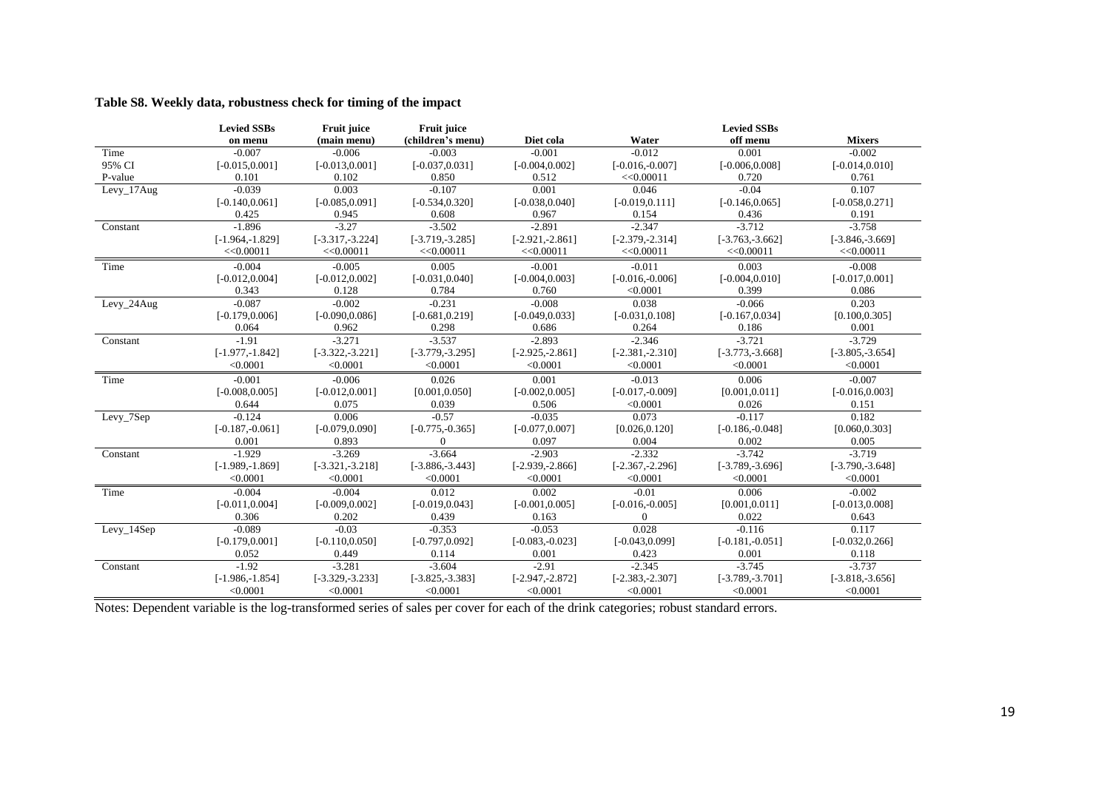| (children's menu)<br>Water<br>off menu<br><b>Mixers</b><br>(main menu)<br>Diet cola<br>on menu<br>$-0.012$<br>$-0.002$<br>$-0.007$<br>$-0.006$<br>$-0.003$<br>$-0.001$<br>0.001<br>Time<br>$[-0.016,-0.007]$<br>95% CI<br>$[-0.015, 0.001]$<br>$[-0.013, 0.001]$<br>$[-0.037, 0.031]$<br>$[-0.004, 0.002]$<br>$[-0.006, 0.008]$<br>$[-0.014, 0.010]$<br>0.101<br>0.512<br><<0.00011<br>0.720<br>0.761<br>P-value<br>0.102<br>0.850 |  |
|------------------------------------------------------------------------------------------------------------------------------------------------------------------------------------------------------------------------------------------------------------------------------------------------------------------------------------------------------------------------------------------------------------------------------------|--|
|                                                                                                                                                                                                                                                                                                                                                                                                                                    |  |
|                                                                                                                                                                                                                                                                                                                                                                                                                                    |  |
|                                                                                                                                                                                                                                                                                                                                                                                                                                    |  |
|                                                                                                                                                                                                                                                                                                                                                                                                                                    |  |
| $-0.039$<br>0.003<br>$-0.107$<br>0.001<br>$-0.04$<br>0.107<br>0.046<br>Levy_17Aug                                                                                                                                                                                                                                                                                                                                                  |  |
| $[-0.140, 0.061]$<br>$[-0.085, 0.091]$<br>$[-0.534, 0.320]$<br>$[-0.038, 0.040]$<br>$[-0.019, 0.111]$<br>$[-0.146, 0.065]$<br>$[-0.058, 0.271]$                                                                                                                                                                                                                                                                                    |  |
| 0.425<br>0.945<br>0.608<br>0.967<br>0.154<br>0.436<br>0.191                                                                                                                                                                                                                                                                                                                                                                        |  |
| $-1.896$<br>$-3.27$<br>$-3.502$<br>$-2.891$<br>$-2.347$<br>$-3.712$<br>$-3.758$<br>Constant                                                                                                                                                                                                                                                                                                                                        |  |
| $[-1.964, -1.829]$<br>$[-3.317, -3.224]$<br>$[-3.719, -3.285]$<br>$[-2.921, -2.861]$<br>$[-2.379, -2.314]$<br>$[-3.763,-3.662]$<br>$[-3.846,-3.669]$                                                                                                                                                                                                                                                                               |  |
| <<0.00011<br><<0.00011<br><<0.00011<br><<0.00011<br><<0.00011<br><<0.00011<br><<0.00011                                                                                                                                                                                                                                                                                                                                            |  |
| $-0.004$<br>$-0.005$<br>0.005<br>$-0.011$<br>0.003<br>$-0.008$<br>$-0.001$<br>Time                                                                                                                                                                                                                                                                                                                                                 |  |
| $[-0.012, 0.004]$<br>$[-0.012, 0.002]$<br>$[-0.031, 0.040]$<br>$[-0.004, 0.010]$<br>$[-0.017, 0.001]$<br>$[-0.004, 0.003]$<br>$[-0.016,-0.006]$                                                                                                                                                                                                                                                                                    |  |
| 0.343<br>0.784<br>< 0.0001<br>0.399<br>0.128<br>0.760<br>0.086                                                                                                                                                                                                                                                                                                                                                                     |  |
| $-0.087$<br>$-0.002$<br>$-0.231$<br>0.038<br>0.203<br>$-0.008$<br>$-0.066$<br>$Levy_24Aug$                                                                                                                                                                                                                                                                                                                                         |  |
| $[-0.179, 0.006]$<br>$[-0.090, 0.086]$<br>$[-0.681, 0.219]$<br>$[-0.049, 0.033]$<br>$[-0.031, 0.108]$<br>$[-0.167, 0.034]$<br>[0.100, 0.305]                                                                                                                                                                                                                                                                                       |  |
| 0.064<br>0.298<br>0.686<br>0.264<br>0.186<br>0.001<br>0.962                                                                                                                                                                                                                                                                                                                                                                        |  |
| $-3.537$<br>$-1.91$<br>$-3.271$<br>$-2.893$<br>$-2.346$<br>$-3.721$<br>$-3.729$<br>Constant                                                                                                                                                                                                                                                                                                                                        |  |
| $[-1.977,-1.842]$<br>$[-3.322,-3.221]$<br>$[-3.779,-3.295]$<br>$[-2.925, -2.861]$<br>$[-2.381, -2.310]$<br>$[-3.773, -3.668]$<br>$[-3.805, -3.654]$                                                                                                                                                                                                                                                                                |  |
| < 0.0001<br>< 0.0001<br>< 0.0001<br>< 0.0001<br>< 0.0001<br>< 0.0001<br>< 0.0001                                                                                                                                                                                                                                                                                                                                                   |  |
| $-0.001$<br>$-0.006$<br>0.026<br>0.001<br>$-0.013$<br>0.006<br>$-0.007$<br>Time                                                                                                                                                                                                                                                                                                                                                    |  |
| $[-0.008, 0.005]$<br>[0.001, 0.050]<br>$[-0.002, 0.005]$<br>$[-0.017,-0.009]$<br>$[-0.012, 0.001]$<br>[0.001, 0.011]<br>$[-0.016, 0.003]$                                                                                                                                                                                                                                                                                          |  |
| 0.644<br>0.075<br>0.039<br>< 0.0001<br>0.026<br>0.151<br>0.506                                                                                                                                                                                                                                                                                                                                                                     |  |
| $-0.57$<br>0.182<br>0.073<br>$-0.117$<br>$-0.124$<br>0.006<br>$-0.035$<br>Levy_7Sep                                                                                                                                                                                                                                                                                                                                                |  |
| $[-0.775,-0.365]$<br>[0.026, 0.120]<br>[0.060, 0.303]<br>$[-0.187,-0.061]$<br>$[-0.079, 0.090]$<br>$[-0.077, 0.007]$<br>$[-0.186, -0.048]$                                                                                                                                                                                                                                                                                         |  |
| 0.002<br>0.001<br>0.893<br>0.097<br>0.004<br>0.005<br>$\Omega$                                                                                                                                                                                                                                                                                                                                                                     |  |
| $-2.332$<br>$-1.929$<br>$-3.269$<br>$-3.664$<br>$-3.742$<br>$-3.719$<br>$-2.903$<br>Constant                                                                                                                                                                                                                                                                                                                                       |  |
| $[-1.989, -1.869]$<br>$[-3.321, -3.218]$<br>$[-3.886, -3.443]$<br>$[-2.939, -2.866]$<br>$[-2.367,-2.296]$<br>$[-3.789, -3.696]$<br>$[-3.790,-3.648]$                                                                                                                                                                                                                                                                               |  |
| < 0.0001<br>< 0.0001<br>< 0.0001<br>< 0.0001<br>< 0.0001<br>< 0.0001<br>< 0.0001                                                                                                                                                                                                                                                                                                                                                   |  |
| $-0.004$<br>0.012<br>0.002<br>$-0.01$<br>0.006<br>$-0.002$<br>$-0.004$<br>Time                                                                                                                                                                                                                                                                                                                                                     |  |
| $[-0.011, 0.004]$<br>$[-0.009, 0.002]$<br>$[-0.019, 0.043]$<br>$[-0.001, 0.005]$<br>$[-0.016,-0.005]$<br>[0.001, 0.011]<br>$[-0.013, 0.008]$                                                                                                                                                                                                                                                                                       |  |
| 0.306<br>0.202<br>0.439<br>$\Omega$<br>0.022<br>0.643<br>0.163                                                                                                                                                                                                                                                                                                                                                                     |  |
| 0.028<br>$-0.089$<br>$-0.353$<br>$-0.053$<br>$-0.116$<br>0.117<br>$-0.03$<br>Levy_14Sep                                                                                                                                                                                                                                                                                                                                            |  |
| $[-0.179, 0.001]$<br>$[-0.797, 0.092]$<br>$[-0.043, 0.099]$<br>$[-0.181, -0.051]$<br>$[-0.032, 0.266]$<br>$[-0.110, 0.050]$<br>$[-0.083, -0.023]$                                                                                                                                                                                                                                                                                  |  |
| 0.052<br>0.449<br>0.114<br>0.001<br>0.423<br>0.001<br>0.118                                                                                                                                                                                                                                                                                                                                                                        |  |
| $-1.92$<br>$-2.345$<br>$-3.281$<br>$-3.604$<br>$-2.91$<br>$-3.745$<br>$-3.737$<br>Constant                                                                                                                                                                                                                                                                                                                                         |  |
| $[-1.986, -1.854]$<br>$[-3.329, -3.233]$<br>$[-3.825, -3.383]$<br>$[-2.947,-2.872]$<br>$[-2.383, -2.307]$<br>$[-3.789, -3.701]$<br>$[-3.818,-3.656]$                                                                                                                                                                                                                                                                               |  |
| < 0.0001<br>< 0.0001<br>< 0.0001<br>< 0.0001<br>< 0.0001<br>< 0.0001<br>< 0.0001                                                                                                                                                                                                                                                                                                                                                   |  |

### **Table S8. Weekly data, robustness check for timing of the impact**

Notes: Dependent variable is the log-transformed series of sales per cover for each of the drink categories; robust standard errors.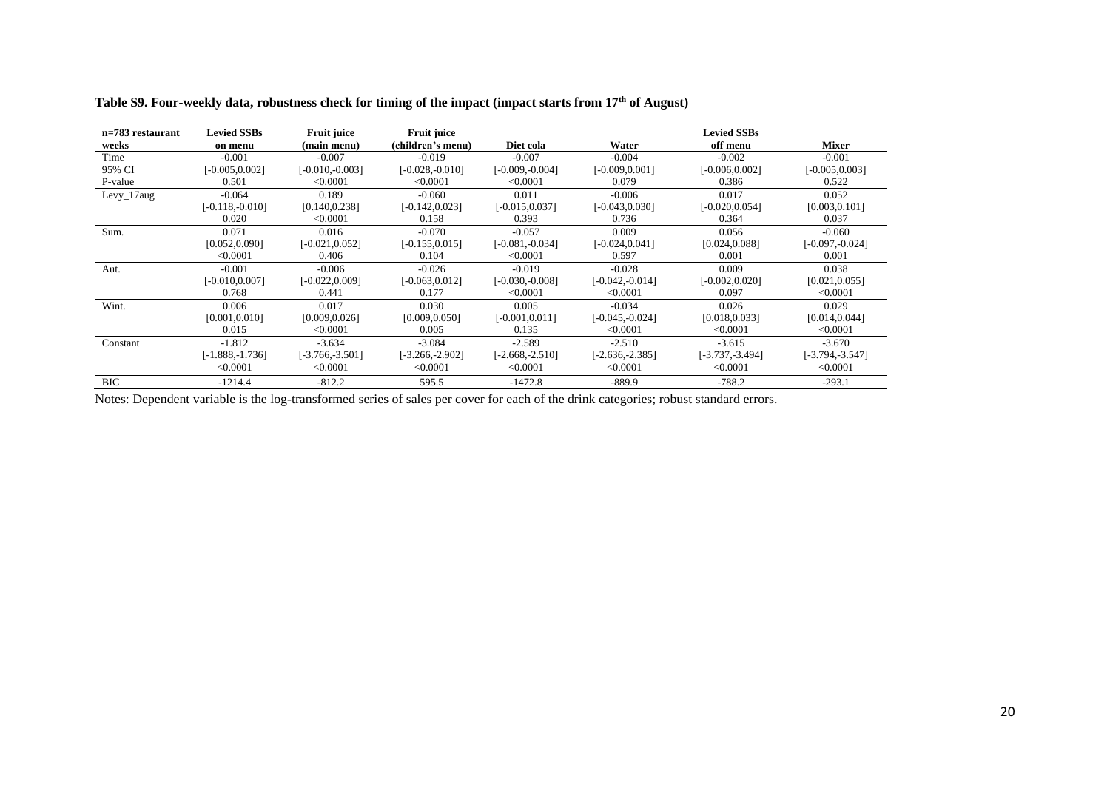| n=783 restaurant | <b>Levied SSBs</b> | <b>Fruit juice</b> | Fruit juice        |                    |                    | <b>Levied SSBs</b> |                    |
|------------------|--------------------|--------------------|--------------------|--------------------|--------------------|--------------------|--------------------|
| weeks            | on menu            | (main menu)        | (children's menu)  | Diet cola          | Water              | off menu           | <b>Mixer</b>       |
| Time             | $-0.001$           | $-0.007$           | $-0.019$           | $-0.007$           | $-0.004$           | $-0.002$           | $-0.001$           |
| 95% CI           | $[-0.005, 0.002]$  | $[-0.010, -0.003]$ | $[-0.028, -0.010]$ | $[-0.009, -0.004]$ | $[-0.009, 0.001]$  | $[-0.006, 0.002]$  | $[-0.005, 0.003]$  |
| P-value          | 0.501              | < 0.0001           | < 0.0001           | < 0.0001           | 0.079              | 0.386              | 0.522              |
| $Levy_17aug$     | $-0.064$           | 0.189              | $-0.060$           | 0.011              | $-0.006$           | 0.017              | 0.052              |
|                  | $[-0.118,-0.010]$  | [0.140, 0.238]     | $[-0.142, 0.023]$  | $[-0.015, 0.037]$  | $[-0.043, 0.030]$  | $[-0.020, 0.054]$  | [0.003, 0.101]     |
|                  | 0.020              | < 0.0001           | 0.158              | 0.393              | 0.736              | 0.364              | 0.037              |
| Sum.             | 0.071              | 0.016              | $-0.070$           | $-0.057$           | 0.009              | 0.056              | $-0.060$           |
|                  | [0.052, 0.090]     | $[-0.021, 0.052]$  | $[-0.155, 0.015]$  | $[-0.081, -0.034]$ | $[-0.024, 0.041]$  | [0.024, 0.088]     | $[-0.097, -0.024]$ |
|                  | < 0.0001           | 0.406              | 0.104              | < 0.0001           | 0.597              | 0.001              | 0.001              |
| Aut.             | $-0.001$           | $-0.006$           | $-0.026$           | $-0.019$           | $-0.028$           | 0.009              | 0.038              |
|                  | $[-0.010, 0.007]$  | $[-0.022, 0.009]$  | $[-0.063, 0.012]$  | $[-0.030, -0.008]$ | $[-0.042, -0.014]$ | $[-0.002, 0.020]$  | [0.021, 0.055]     |
|                  | 0.768              | 0.441              | 0.177              | < 0.0001           | < 0.0001           | 0.097              | < 0.0001           |
| Wint.            | 0.006              | 0.017              | 0.030              | 0.005              | $-0.034$           | 0.026              | 0.029              |
|                  | [0.001, 0.010]     | [0.009, 0.026]     | [0.009, 0.050]     | $[-0.001, 0.011]$  | $[-0.045, -0.024]$ | [0.018, 0.033]     | [0.014, 0.044]     |
|                  | 0.015              | < 0.0001           | 0.005              | 0.135              | < 0.0001           | < 0.0001           | < 0.0001           |
| Constant         | $-1.812$           | $-3.634$           | $-3.084$           | $-2.589$           | $-2.510$           | $-3.615$           | $-3.670$           |
|                  | $[-1.888, -1.736]$ | $[-3.766,-3.501]$  | $[-3.266,-2.902]$  | $[-2.668,-2.510]$  | $[-2.636,-2.385]$  | $[-3.737, -3.494]$ | [-3.794,-3.547]    |
|                  | < 0.0001           | < 0.0001           | < 0.0001           | < 0.0001           | < 0.0001           | < 0.0001           | < 0.0001           |
| <b>BIC</b>       | $-1214.4$          | $-812.2$           | 595.5              | $-1472.8$          | $-889.9$           | $-788.2$           | $-293.1$           |

## **Table S9. Four-weekly data, robustness check for timing of the impact (impact starts from 17th of August)**

Notes: Dependent variable is the log-transformed series of sales per cover for each of the drink categories; robust standard errors.